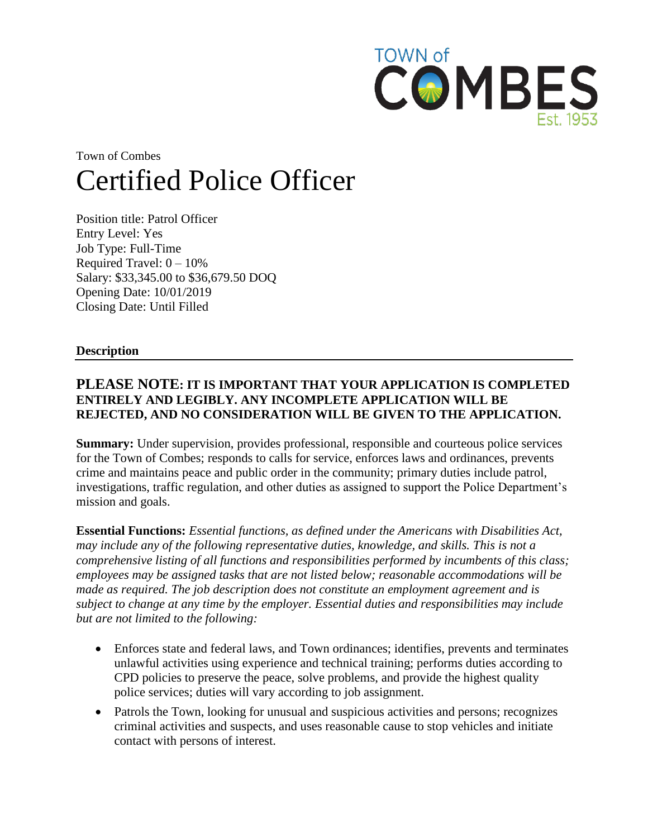

# Town of Combes Certified Police Officer

Position title: Patrol Officer Entry Level: Yes Job Type: Full-Time Required Travel:  $0 - 10\%$ Salary: \$33,345.00 to \$36,679.50 DOQ Opening Date: 10/01/2019 Closing Date: Until Filled

#### **Description**

# **PLEASE NOTE: IT IS IMPORTANT THAT YOUR APPLICATION IS COMPLETED ENTIRELY AND LEGIBLY. ANY INCOMPLETE APPLICATION WILL BE REJECTED, AND NO CONSIDERATION WILL BE GIVEN TO THE APPLICATION.**

**Summary:** Under supervision, provides professional, responsible and courteous police services for the Town of Combes; responds to calls for service, enforces laws and ordinances, prevents crime and maintains peace and public order in the community; primary duties include patrol, investigations, traffic regulation, and other duties as assigned to support the Police Department's mission and goals.

**Essential Functions:** *Essential functions, as defined under the Americans with Disabilities Act, may include any of the following representative duties, knowledge, and skills. This is not a comprehensive listing of all functions and responsibilities performed by incumbents of this class; employees may be assigned tasks that are not listed below; reasonable accommodations will be made as required. The job description does not constitute an employment agreement and is subject to change at any time by the employer. Essential duties and responsibilities may include but are not limited to the following:* 

- Enforces state and federal laws, and Town ordinances; identifies, prevents and terminates unlawful activities using experience and technical training; performs duties according to CPD policies to preserve the peace, solve problems, and provide the highest quality police services; duties will vary according to job assignment.
- Patrols the Town, looking for unusual and suspicious activities and persons; recognizes criminal activities and suspects, and uses reasonable cause to stop vehicles and initiate contact with persons of interest.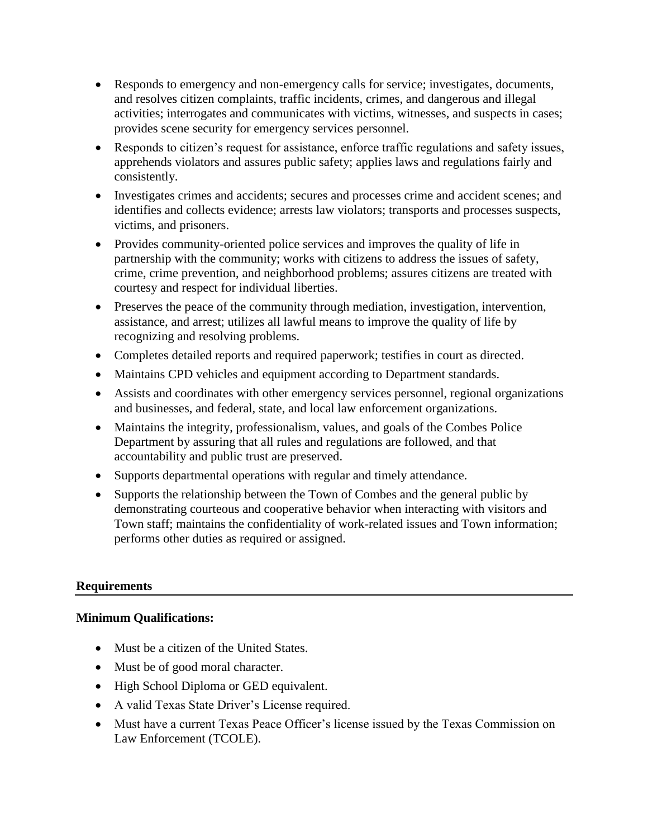- Responds to emergency and non-emergency calls for service; investigates, documents, and resolves citizen complaints, traffic incidents, crimes, and dangerous and illegal activities; interrogates and communicates with victims, witnesses, and suspects in cases; provides scene security for emergency services personnel.
- Responds to citizen's request for assistance, enforce traffic regulations and safety issues, apprehends violators and assures public safety; applies laws and regulations fairly and consistently.
- Investigates crimes and accidents; secures and processes crime and accident scenes; and identifies and collects evidence; arrests law violators; transports and processes suspects, victims, and prisoners.
- Provides community-oriented police services and improves the quality of life in partnership with the community; works with citizens to address the issues of safety, crime, crime prevention, and neighborhood problems; assures citizens are treated with courtesy and respect for individual liberties.
- Preserves the peace of the community through mediation, investigation, intervention, assistance, and arrest; utilizes all lawful means to improve the quality of life by recognizing and resolving problems.
- Completes detailed reports and required paperwork; testifies in court as directed.
- Maintains CPD vehicles and equipment according to Department standards.
- Assists and coordinates with other emergency services personnel, regional organizations and businesses, and federal, state, and local law enforcement organizations.
- Maintains the integrity, professionalism, values, and goals of the Combes Police Department by assuring that all rules and regulations are followed, and that accountability and public trust are preserved.
- Supports departmental operations with regular and timely attendance.
- Supports the relationship between the Town of Combes and the general public by demonstrating courteous and cooperative behavior when interacting with visitors and Town staff; maintains the confidentiality of work-related issues and Town information; performs other duties as required or assigned.

## **Requirements**

## **Minimum Qualifications:**

- Must be a citizen of the United States.
- Must be of good moral character.
- High School Diploma or GED equivalent.
- A valid Texas State Driver's License required.
- Must have a current Texas Peace Officer's license issued by the Texas Commission on Law Enforcement (TCOLE).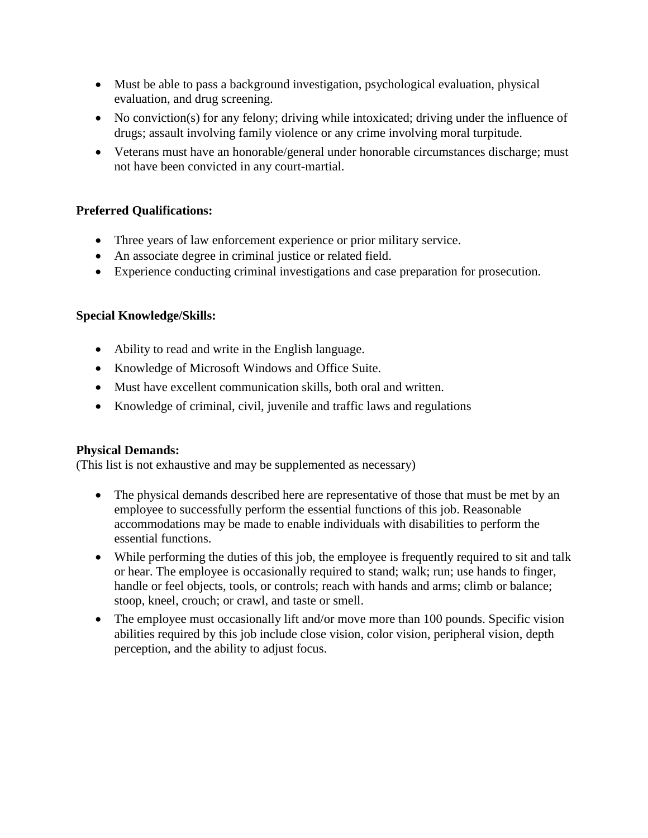- Must be able to pass a background investigation, psychological evaluation, physical evaluation, and drug screening.
- No conviction(s) for any felony; driving while intoxicated; driving under the influence of drugs; assault involving family violence or any crime involving moral turpitude.
- Veterans must have an honorable/general under honorable circumstances discharge; must not have been convicted in any court-martial.

# **Preferred Qualifications:**

- Three years of law enforcement experience or prior military service.
- An associate degree in criminal justice or related field.
- Experience conducting criminal investigations and case preparation for prosecution.

## **Special Knowledge/Skills:**

- Ability to read and write in the English language.
- Knowledge of Microsoft Windows and Office Suite.
- Must have excellent communication skills, both oral and written.
- Knowledge of criminal, civil, juvenile and traffic laws and regulations

## **Physical Demands:**

(This list is not exhaustive and may be supplemented as necessary)

- The physical demands described here are representative of those that must be met by an employee to successfully perform the essential functions of this job. Reasonable accommodations may be made to enable individuals with disabilities to perform the essential functions.
- While performing the duties of this job, the employee is frequently required to sit and talk or hear. The employee is occasionally required to stand; walk; run; use hands to finger, handle or feel objects, tools, or controls; reach with hands and arms; climb or balance; stoop, kneel, crouch; or crawl, and taste or smell.
- The employee must occasionally lift and/or move more than 100 pounds. Specific vision abilities required by this job include close vision, color vision, peripheral vision, depth perception, and the ability to adjust focus.